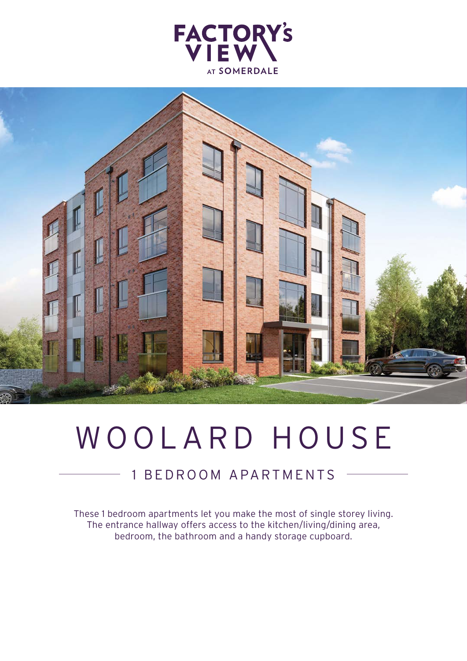



# WOOLARD HOUSE

## 1 BEDROOM APARTMENTS

These 1 bedroom apartments let you make the most of single storey living. The entrance hallway offers access to the kitchen/living/dining area, bedroom, the bathroom and a handy storage cupboard.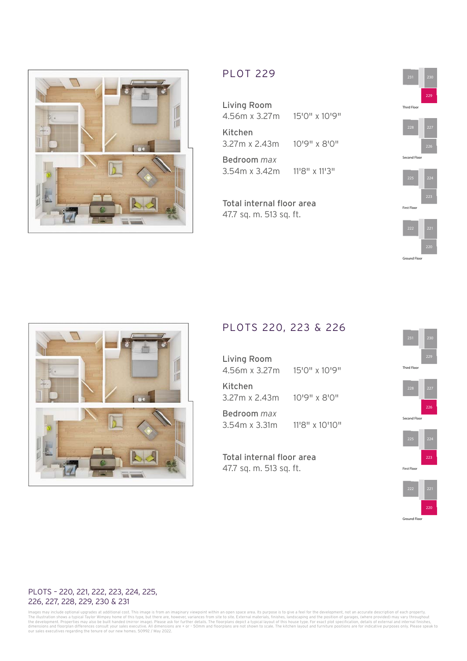

### PLOT 229

Living Room 4.56m x 3.27m 15'0" x 10'9" Kitchen 3.27m x 2.43m 10'9" x 8'0" Bedroom *max* 3.54m x 3.42m 11'8" x 11'3"

Total internal floor area 47.7 sq. m. 513 sq. ft.





#### PLOTS 220, 223 & 226

| <b>Living Room</b><br>4.56m x 3.27m | 15'0" x 10'9"  |
|-------------------------------------|----------------|
| Kitchen<br>3.27m x 2.43m            | 10'9" x 8'0"   |
| Bedroom <i>max</i><br>3.54m x 3.31m | 11'8" x 10'10" |

Total internal floor area 47.7 sq. m. 513 sq. ft.









First Floor

#### PLOTS – 220, 221, 222, 223, 224, 225, 226, 227, 228, 229, 230 & 231

lmages may include optional upgrades at additional cost. This image is from an imaginary viewpoint within an open space area. Its purpose is to give a feel for the development, not an accurate description of each property.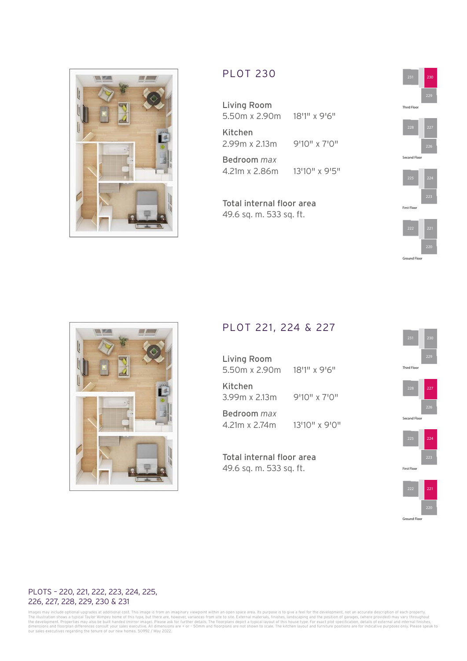

## PLOT 230

Living Room 5.50m x 2.90m 18'1" x 9'6" Kitchen 2.99m x 2.13m 9'10" x 7'0" Bedroom *max* 4.21m x 2.86m 13'10" x 9'5"

Total internal floor area 49.6 sq. m. 533 sq. ft.





#### PLOT 221, 224 & 227

Living Room 5.50m x 2.90m 18'1" x 9'6" Kitchen 3.99m x 2.13m 9'10" x 7'0" Bedroom *max*

4.21m x 2.74m 13'10" x 9'0"

Total internal floor area 49.6 sq. m. 533 sq. ft.





Second Floor





#### PLOTS – 220, 221, 222, 223, 224, 225, 226, 227, 228, 229, 230 & 231

lmages may include optional upgrades at additional cost. This image is from an imaginary viewpoint within an open space area. Its purpose is to give a feel for the development, not an accurate description of each property.